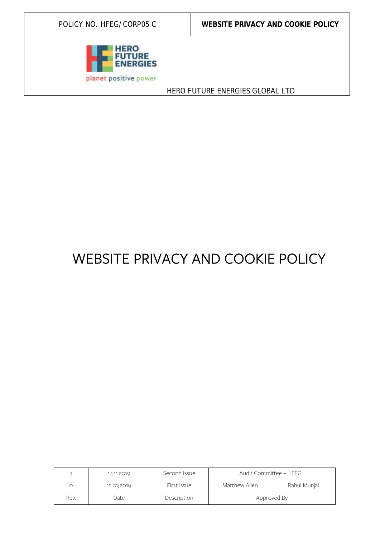

POLICY NO. HFEG/CORP05 C **WEBSITE PRIVACY AND COOKIE POLICY** 

HERO FUTURE ENERGIES GLOBAL LTD

# WEBSITE PRIVACY AND COOKIE POLICY

|      | 14.11.2019 | Second Issue | Audit Committee - HFEGL |              |
|------|------------|--------------|-------------------------|--------------|
|      | 12.03.2019 | First Issue  | Matthew Allen           | Rahul Munjal |
| Rev. | Date       | Description  | Approved By             |              |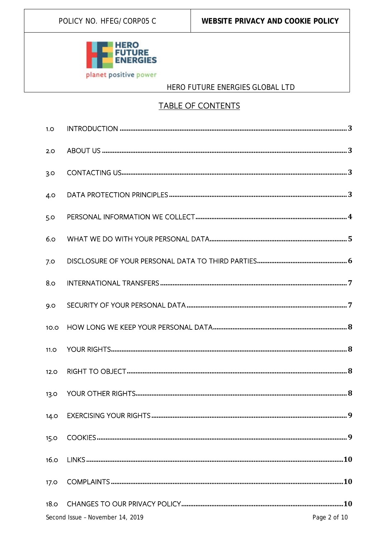

## **TABLE OF CONTENTS**

| 1.0         |                                  |              |
|-------------|----------------------------------|--------------|
| 2.0         |                                  |              |
| 3.0         |                                  |              |
| 4.0         |                                  |              |
| 5.0         |                                  |              |
| 6.0         |                                  |              |
| 7.0         |                                  |              |
| 8.0         |                                  |              |
| 9.0         |                                  |              |
| 10.0        |                                  |              |
| 11.0        |                                  |              |
| 12.0        |                                  |              |
| 13.0        |                                  |              |
|             |                                  |              |
| <b>15.0</b> |                                  |              |
| 16.0        |                                  |              |
| <b>17.0</b> |                                  |              |
| 18.0        |                                  |              |
|             | Second Issue - November 14, 2019 | Page 2 of 10 |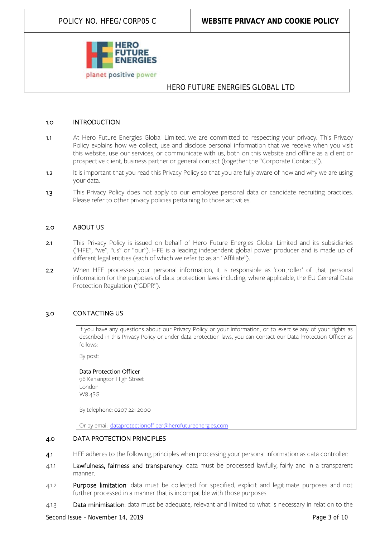

#### <span id="page-2-0"></span>1.0 INTRODUCTION

- 1.1 At Hero Future Energies Global Limited, we are committed to respecting your privacy. This Privacy Policy explains how we collect, use and disclose personal information that we receive when you visit this website, use our services, or communicate with us, both on this website and offline as a client or prospective client, business partner or general contact (together the "Corporate Contacts").
- 1.2 It is important that you read this Privacy Policy so that you are fully aware of how and why we are using your data.
- 1.3 This Privacy Policy does not apply to our employee personal data or candidate recruiting practices. Please refer to other privacy policies pertaining to those activities.

#### <span id="page-2-1"></span>2.0 ABOUT US

- 2.1 This Privacy Policy is issued on behalf of Hero Future Energies Global Limited and its subsidiaries ("HFE", "we", "us" or "our"). HFE is a leading independent global power producer and is made up of different legal entities (each of which we refer to as an "Affiliate").
- 2.2 When HFE processes your personal information, it is responsible as 'controller' of that personal information for the purposes of data protection laws including, where applicable, the EU General Data Protection Regulation ("GDPR").

#### <span id="page-2-2"></span>3.0 CONTACTING US

If you have any questions about our Privacy Policy or your information, or to exercise any of your rights as described in this Privacy Policy or under data protection laws, you can contact our Data Protection Officer as follows:

<span id="page-2-3"></span>By post:

#### Data Protection Officer

96 Kensington High Street London W8 4SG

By telephone: 0207 221 2000

Or by email: [dataprotectionofficer@herofutureenergies.com](mailto:dataprotectionofficer@herofutureenergies.com)

#### 4.0 DATA PROTECTION PRINCIPLES

- 4.1 HFE adheres to the following principles when processing your personal information as data controller:
- 4.1.1 Lawfulness, fairness and transparency: data must be processed lawfully, fairly and in a transparent manner.
- 4.1.2 Purpose limitation: data must be collected for specified, explicit and legitimate purposes and not further processed in a manner that is incompatible with those purposes.
- 4.1.3 Data minimisation: data must be adequate, relevant and limited to what is necessary in relation to the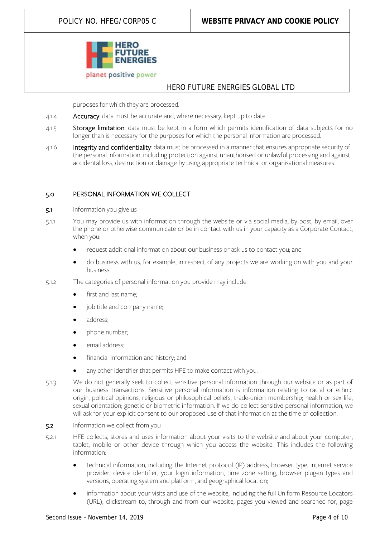

purposes for which they are processed.

- 4.1.4 Accuracy: data must be accurate and, where necessary, kept up to date.
- 4.1.5 Storage limitation: data must be kept in a form which permits identification of data subjects for no longer than is necessary for the purposes for which the personal information are processed.
- 4.1.6 Integrity and confidentiality: data must be processed in a manner that ensures appropriate security of the personal information, including protection against unauthorised or unlawful processing and against accidental loss, destruction or damage by using appropriate technical or organisational measures.

#### <span id="page-3-0"></span>5.0 PERSONAL INFORMATION WE COLLECT

- 5.1 Information you give us
- 5.1.1 You may provide us with information through the website or via social media, by post, by email, over the phone or otherwise communicate or be in contact with us in your capacity as a Corporate Contact, when you:
	- request additional information about our business or ask us to contact you; and
	- do business with us, for example, in respect of any projects we are working on with you and your business.
- 5.1.2 The categories of personal information you provide may include:
	- first and last name;
	- job title and company name;
	- address;
	- phone number;
	- email address:
	- financial information and history; and
	- any other identifier that permits HFE to make contact with you.
- 5.1.3 We do not generally seek to collect sensitive personal information through our website or as part of our business transactions. Sensitive personal information is information relating to racial or ethnic origin, political opinions, religious or philosophical beliefs, trade-union membership; health or sex life, sexual orientation; genetic or biometric information. If we do collect sensitive personal information, we will ask for your explicit consent to our proposed use of that information at the time of collection.
- 5.2 Information we collect from you
- 5.2.1 HFE collects, stores and uses information about your visits to the website and about your computer, tablet, mobile or other device through which you access the website. This includes the following information:
	- technical information, including the Internet protocol (IP) address, browser type, internet service provider, device identifier, your login information, time zone setting, browser plug-in types and versions, operating system and platform, and geographical location;
	- information about your visits and use of the website, including the full Uniform Resource Locators (URL), clickstream to, through and from our website, pages you viewed and searched for, page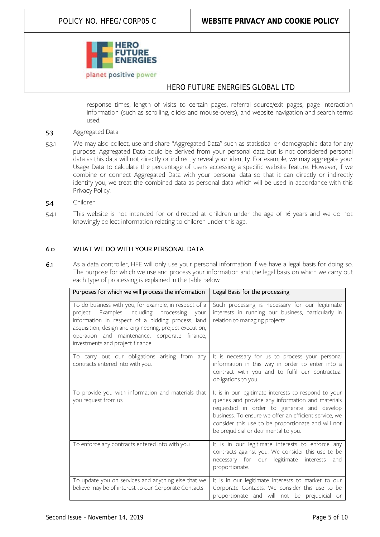

response times, length of visits to certain pages, referral source/exit pages, page interaction information (such as scrolling, clicks and mouse-overs), and website navigation and search terms used.

- 5.3 Aggregated Data
- 5.3.1 We may also collect, use and share "Aggregated Data" such as statistical or demographic data for any purpose. Aggregated Data could be derived from your personal data but is not considered personal data as this data will not directly or indirectly reveal your identity. For example, we may aggregate your Usage Data to calculate the percentage of users accessing a specific website feature. However, if we combine or connect Aggregated Data with your personal data so that it can directly or indirectly identify you, we treat the combined data as personal data which will be used in accordance with this Privacy Policy.
- 5.4 Children
- 5.4.1 This website is not intended for or directed at children under the age of 16 years and we do not knowingly collect information relating to children under this age.

#### <span id="page-4-0"></span>6.0 WHAT WE DO WITH YOUR PERSONAL DATA

6.1 As a data controller, HFE will only use your personal information if we have a legal basis for doing so. The purpose for which we use and process your information and the legal basis on which we carry out each type of processing is explained in the table below.

| Purposes for which we will process the information                                                                                                                                                                                                                                                        | Legal Basis for the processing                                                                                                                                                                                                                                                                                  |
|-----------------------------------------------------------------------------------------------------------------------------------------------------------------------------------------------------------------------------------------------------------------------------------------------------------|-----------------------------------------------------------------------------------------------------------------------------------------------------------------------------------------------------------------------------------------------------------------------------------------------------------------|
| To do business with you, for example, in respect of a<br>project. Examples including processing your<br>information in respect of a bidding process, land<br>acquisition, design and engineering, project execution,<br>operation and maintenance, corporate finance,<br>investments and project finance. | Such processing is necessary for our legitimate<br>interests in running our business, particularly in<br>relation to managing projects.                                                                                                                                                                         |
| To carry out our obligations arising from any<br>contracts entered into with you.                                                                                                                                                                                                                         | It is necessary for us to process your personal<br>information in this way in order to enter into a<br>contract with you and to fulfil our contractual<br>obligations to you.                                                                                                                                   |
| To provide you with information and materials that<br>you request from us.                                                                                                                                                                                                                                | It is in our legitimate interests to respond to your<br>queries and provide any information and materials<br>requested in order to generate and develop<br>business. To ensure we offer an efficient service, we<br>consider this use to be proportionate and will not<br>be prejudicial or detrimental to you. |
| To enforce any contracts entered into with you.                                                                                                                                                                                                                                                           | It is in our legitimate interests to enforce any<br>contracts against you. We consider this use to be<br>necessary for our legitimate interests<br>and<br>proportionate.                                                                                                                                        |
| To update you on services and anything else that we<br>believe may be of interest to our Corporate Contacts.                                                                                                                                                                                              | It is in our legitimate interests to market to our<br>Corporate Contacts. We consider this use to be<br>proportionate and will not be prejudicial or                                                                                                                                                            |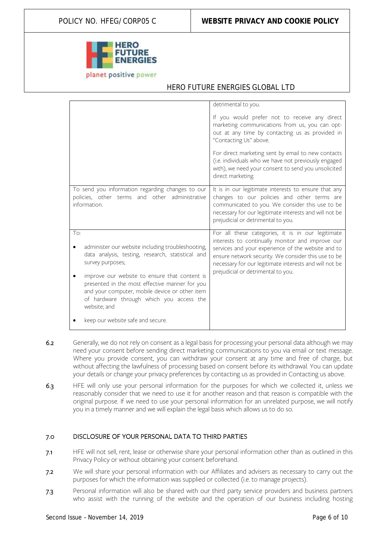

|                                                                                                                                                                                                                                                                                                                                                    | detrimental to you.                                                                                                                                                                                                                                                                                                |
|----------------------------------------------------------------------------------------------------------------------------------------------------------------------------------------------------------------------------------------------------------------------------------------------------------------------------------------------------|--------------------------------------------------------------------------------------------------------------------------------------------------------------------------------------------------------------------------------------------------------------------------------------------------------------------|
|                                                                                                                                                                                                                                                                                                                                                    | If you would prefer not to receive any direct<br>marketing communications from us, you can opt-<br>out at any time by contacting us as provided in<br>"Contacting Us" above.                                                                                                                                       |
|                                                                                                                                                                                                                                                                                                                                                    | For direct marketing sent by email to new contacts<br>(i.e. individuals who we have not previously engaged<br>with), we need your consent to send you unsolicited<br>direct marketing.                                                                                                                             |
| To send you information regarding changes to our<br>policies, other terms and other administrative<br>information.                                                                                                                                                                                                                                 | It is in our legitimate interests to ensure that any<br>changes to our policies and other terms are<br>communicated to you. We consider this use to be<br>necessary for our legitimate interests and will not be<br>prejudicial or detrimental to you.                                                             |
| To:<br>administer our website including troubleshooting,<br>data analysis, testing, research, statistical and<br>survey purposes;<br>improve our website to ensure that content is<br>presented in the most effective manner for you<br>and your computer, mobile device or other item<br>of hardware through which you access the<br>website; and | For all these categories, it is in our legitimate<br>interests to continually monitor and improve our<br>services and your experience of the website and to<br>ensure network security. We consider this use to be<br>necessary for our legitimate interests and will not be<br>prejudicial or detrimental to you. |
| keep our website safe and secure.                                                                                                                                                                                                                                                                                                                  |                                                                                                                                                                                                                                                                                                                    |

- 6.2 Generally, we do not rely on consent as a legal basis for processing your personal data although we may need your consent before sending direct marketing communications to you via email or text message. Where you provide consent, you can withdraw your consent at any time and free of charge, but without affecting the lawfulness of processing based on consent before its withdrawal. You can update your details or change your privacy preferences by contacting us as provided in Contacting us above.
- 6.3 HFE will only use your personal information for the purposes for which we collected it, unless we reasonably consider that we need to use it for another reason and that reason is compatible with the original purpose. If we need to use your personal information for an unrelated purpose, we will notify you in a timely manner and we will explain the legal basis which allows us to do so.

#### <span id="page-5-0"></span>7.0 DISCLOSURE OF YOUR PERSONAL DATA TO THIRD PARTIES

- 7.1 HFE will not sell, rent, lease or otherwise share your personal information other than as outlined in this Privacy Policy or without obtaining your consent beforehand.
- 7.2 We will share your personal information with our Affiliates and advisers as necessary to carry out the purposes for which the information was supplied or collected (i.e. to manage projects).
- 7.3 Personal information will also be shared with our third party service providers and business partners who assist with the running of the website and the operation of our business including hosting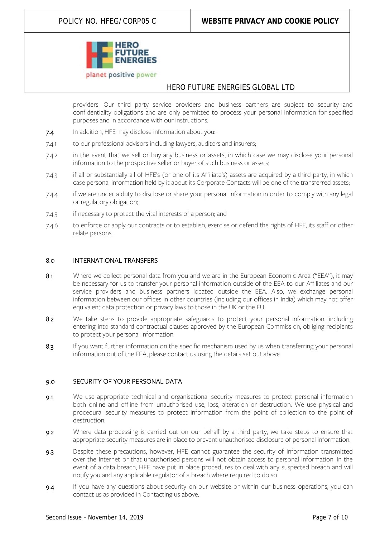

providers. Our third party service providers and business partners are subject to security and confidentiality obligations and are only permitted to process your personal information for specified purposes and in accordance with our instructions.

- 7.4 In addition, HFE may disclose information about you:
- 7.4.1 to our professional advisors including lawyers, auditors and insurers;
- 7.4.2 in the event that we sell or buy any business or assets, in which case we may disclose your personal information to the prospective seller or buyer of such business or assets;
- 7.4.3 if all or substantially all of HFE's (or one of its Affiliate's) assets are acquired by a third party, in which case personal information held by it about its Corporate Contacts will be one of the transferred assets;
- 7.4.4 if we are under a duty to disclose or share your personal information in order to comply with any legal or regulatory obligation;
- 7.4.5 if necessary to protect the vital interests of a person; and
- 7.4.6 to enforce or apply our contracts or to establish, exercise or defend the rights of HFE, its staff or other relate persons.

#### <span id="page-6-0"></span>8.0 INTERNATIONAL TRANSFERS

- 8.1 Where we collect personal data from you and we are in the European Economic Area ("EEA"), it may be necessary for us to transfer your personal information outside of the EEA to our Affiliates and our service providers and business partners located outside the EEA. Also, we exchange personal information between our offices in other countries (including our offices in India) which may not offer equivalent data protection or privacy laws to those in the UK or the EU.
- 8.2 We take steps to provide appropriate safeguards to protect your personal information, including entering into standard contractual clauses approved by the European Commission, obliging recipients to protect your personal information.
- 8.3 If you want further information on the specific mechanism used by us when transferring your personal information out of the EEA, please contact us using the details set out above.

#### <span id="page-6-1"></span>9.0 SECURITY OF YOUR PERSONAL DATA

- 9.1 We use appropriate technical and organisational security measures to protect personal information both online and offline from unauthorised use, loss, alteration or destruction. We use physical and procedural security measures to protect information from the point of collection to the point of destruction.
- 9.2 Where data processing is carried out on our behalf by a third party, we take steps to ensure that appropriate security measures are in place to prevent unauthorised disclosure of personal information.
- 9.3 Despite these precautions, however, HFE cannot guarantee the security of information transmitted over the Internet or that unauthorised persons will not obtain access to personal information. In the event of a data breach, HFE have put in place procedures to deal with any suspected breach and will notify you and any applicable regulator of a breach where required to do so.
- 9.4 If you have any questions about security on our website or within our business operations, you can contact us as provided in Contacting us above.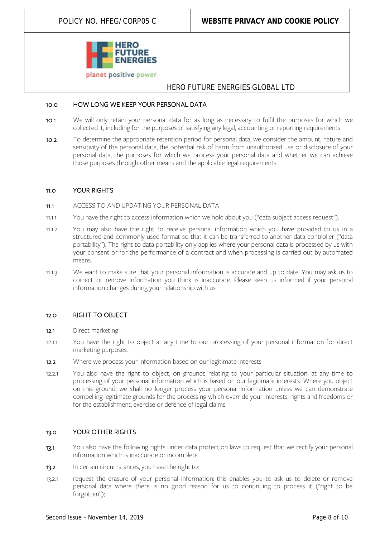

#### <span id="page-7-0"></span>10.0 HOW LONG WE KEEP YOUR PERSONAL DATA

- 10.1 We will only retain your personal data for as long as necessary to fulfil the purposes for which we collected it, including for the purposes of satisfying any legal, accounting or reporting requirements.
- 10.2 To determine the appropriate retention period for personal data, we consider the amount, nature and sensitivity of the personal data, the potential risk of harm from unauthorized use or disclosure of your personal data, the purposes for which we process your personal data and whether we can achieve those purposes through other means and the applicable legal requirements.

#### <span id="page-7-1"></span>11.0 YOUR RIGHTS

- 11.1 ACCESS TO AND UPDATING YOUR PERSONAL DATA
- 11.1.1 You have the right to access information which we hold about you ("data subject access request").
- 11.1.2 You may also have the right to receive personal information which you have provided to us in a structured and commonly used format so that it can be transferred to another data controller ("data portability"). The right to data portability only applies where your personal data is processed by us with your consent or for the performance of a contract and when processing is carried out by automated means.
- 11.1.3 We want to make sure that your personal information is accurate and up to date. You may ask us to correct or remove information you think is inaccurate. Please keep us informed if your personal information changes during your relationship with us.

#### <span id="page-7-2"></span>12.0 RIGHT TO OBJECT

- 12.1 Direct marketing
- 12.1.1 You have the right to object at any time to our processing of your personal information for direct marketing purposes.
- 12.2 Where we process your information based on our legitimate interests
- 12.2.1 You also have the right to object, on grounds relating to your particular situation, at any time to processing of your personal information which is based on our legitimate interests. Where you object on this ground, we shall no longer process your personal information unless we can demonstrate compelling legitimate grounds for the processing which override your interests, rights and freedoms or for the establishment, exercise or defence of legal claims.

#### <span id="page-7-3"></span>13.0 YOUR OTHER RIGHTS

- 13.1 You also have the following rights under data protection laws to request that we rectify your personal information which is inaccurate or incomplete.
- 13.2 In certain circumstances, you have the right to:
- 13.2.1 request the erasure of your personal information: this enables you to ask us to delete or remove personal data where there is no good reason for us to continuing to process it ("right to be forgotten");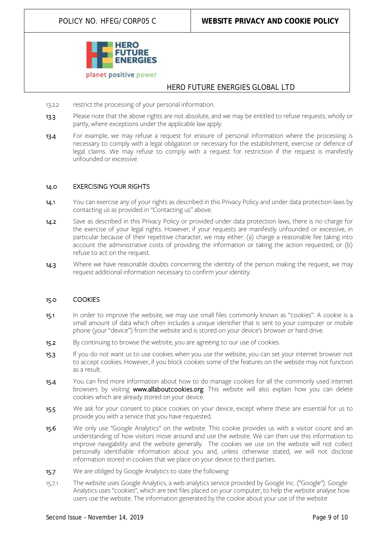

- 13.2.2 restrict the processing of your personal information.
- 13.3 Please note that the above rights are not absolute, and we may be entitled to refuse requests, wholly or partly, where exceptions under the applicable law apply.
- 13.4 For example, we may refuse a request for erasure of personal information where the processing is necessary to comply with a legal obligation or necessary for the establishment, exercise or defence of legal claims. We may refuse to comply with a request for restriction if the request is manifestly unfounded or excessive.

#### <span id="page-8-0"></span>14.0 EXERCISING YOUR RIGHTS

- 14.1 You can exercise any of your rights as described in this Privacy Policy and under data protection laws by contacting us as provided in "Contacting us" above.
- 14.2 Save as described in this Privacy Policy or provided under data protection laws, there is no charge for the exercise of your legal rights. However, if your requests are manifestly unfounded or excessive, in particular because of their repetitive character, we may either: (a) charge a reasonable fee taking into account the administrative costs of providing the information or taking the action requested; or (b) refuse to act on the request.
- 14.3 Where we have reasonable doubts concerning the identity of the person making the request, we may request additional information necessary to confirm your identity.

#### <span id="page-8-1"></span>15.0 COOKIES

- 15.1 In order to improve the website, we may use small files commonly known as "cookies". A cookie is a small amount of data which often includes a unique identifier that is sent to your computer or mobile phone (your "device") from the website and is stored on your device's browser or hard drive.
- 15.2 By continuing to browse the website, you are agreeing to our use of cookies.
- 15.3 If you do not want us to use cookies when you use the website, you can set your internet browser not to accept cookies. However, if you block cookies some of the features on the website may not function as a result.
- 15.4 You can find more information about how to do manage cookies for all the commonly used internet browsers by visiting [www.allaboutcookies.org.](http://www.allaboutcookies.org/) This website will also explain how you can delete cookies which are already stored on your device.
- 15.5 We ask for your consent to place cookies on your device, except where these are essential for us to provide you with a service that you have requested.
- 15.6 We only use "Google Analytics" on the website. This cookie provides us with a visitor count and an understanding of how visitors move around and use the website. We can then use this information to improve navigability and the website generally. The cookies we use on the website will not collect personally identifiable information about you and, unless otherwise stated, we will not disclose information stored in cookies that we place on your device to third parties.
- 15.7 We are obliged by Google Analytics to state the following:
- 15.7.1 The website uses Google Analytics, a web analytics service provided by Google Inc. ("Google"). Google Analytics uses "cookies", which are text files placed on your computer, to help the website analyse how users use the website. The information generated by the cookie about your use of the website